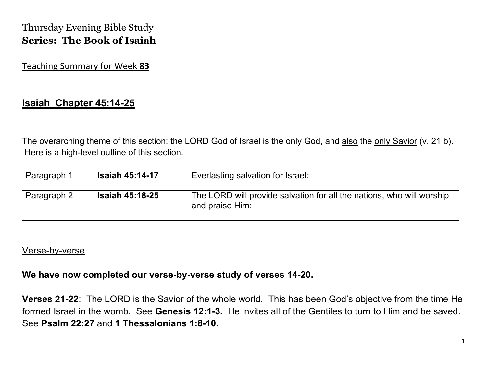# Thursday Evening Bible Study **Series: The Book of Isaiah**

### Teaching Summary for Week **83**

## **Isaiah Chapter 45:14-25**

The overarching theme of this section: the LORD God of Israel is the only God, and also the only Savior (v. 21 b). Here is a high-level outline of this section.

| Paragraph 1 | <b>Isaiah 45:14-17</b> | Everlasting salvation for Israel:                                                        |
|-------------|------------------------|------------------------------------------------------------------------------------------|
| Paragraph 2 | <b>Isaiah 45:18-25</b> | The LORD will provide salvation for all the nations, who will worship<br>and praise Him: |

#### Verse-by-verse

#### **We have now completed our verse-by-verse study of verses 14-20.**

**Verses 21-22**: The LORD is the Savior of the whole world. This has been God's objective from the time He formed Israel in the womb. See **Genesis 12:1-3.** He invites all of the Gentiles to turn to Him and be saved. See **Psalm 22:27** and **1 Thessalonians 1:8-10.**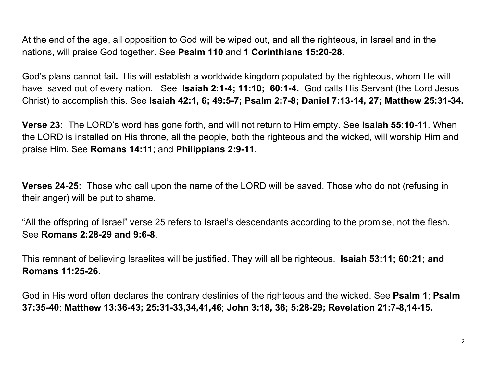At the end of the age, all opposition to God will be wiped out, and all the righteous, in Israel and in the nations, will praise God together. See **Psalm 110** and **1 Corinthians 15:20-28**.

God's plans cannot fail**.** His will establish a worldwide kingdom populated by the righteous, whom He will have saved out of every nation. See **Isaiah 2:1-4; 11:10; 60:1-4.** God calls His Servant (the Lord Jesus Christ) to accomplish this. See **Isaiah 42:1, 6; 49:5-7; Psalm 2:7-8; Daniel 7:13-14, 27; Matthew 25:31-34.** 

**Verse 23:** The LORD's word has gone forth, and will not return to Him empty. See **Isaiah 55:10-11**. When the LORD is installed on His throne, all the people, both the righteous and the wicked, will worship Him and praise Him. See **Romans 14:11**; and **Philippians 2:9-11**.

**Verses 24-25:** Those who call upon the name of the LORD will be saved. Those who do not (refusing in their anger) will be put to shame.

"All the offspring of Israel" verse 25 refers to Israel's descendants according to the promise, not the flesh. See **Romans 2:28-29 and 9:6-8**.

This remnant of believing Israelites will be justified. They will all be righteous. **Isaiah 53:11; 60:21; and Romans 11:25-26.**

God in His word often declares the contrary destinies of the righteous and the wicked. See **Psalm 1**; **Psalm 37:35-40**; **Matthew 13:36-43; 25:31-33,34,41,46**; **John 3:18, 36; 5:28-29; Revelation 21:7-8,14-15.**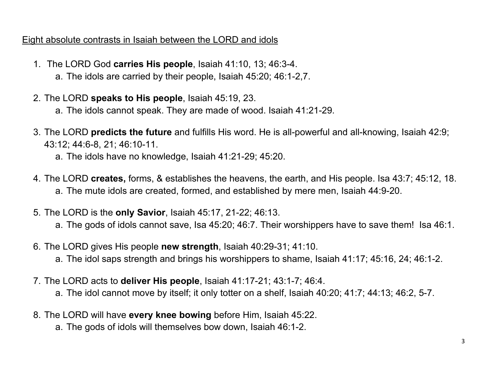### Eight absolute contrasts in Isaiah between the LORD and idols

- 1. The LORD God **carries His people**, Isaiah 41:10, 13; 46:3-4.
	- a. The idols are carried by their people, Isaiah 45:20; 46:1-2,7.
- 2. The LORD **speaks to His people**, Isaiah 45:19, 23.
	- a. The idols cannot speak. They are made of wood. Isaiah 41:21-29.
- 3. The LORD **predicts the future** and fulfills His word. He is all-powerful and all-knowing, Isaiah 42:9; 43:12; 44:6-8, 21; 46:10-11.
	- a. The idols have no knowledge, Isaiah 41:21-29; 45:20.
- 4. The LORD **creates,** forms, & establishes the heavens, the earth, and His people. Isa 43:7; 45:12, 18. a. The mute idols are created, formed, and established by mere men, Isaiah 44:9-20.
- 5. The LORD is the **only Savior**, Isaiah 45:17, 21-22; 46:13.
	- a. The gods of idols cannot save, Isa 45:20; 46:7. Their worshippers have to save them! Isa 46:1.
- 6. The LORD gives His people **new strength**, Isaiah 40:29-31; 41:10.
	- a. The idol saps strength and brings his worshippers to shame, Isaiah 41:17; 45:16, 24; 46:1-2.
- 7. The LORD acts to **deliver His people**, Isaiah 41:17-21; 43:1-7; 46:4.
	- a. The idol cannot move by itself; it only totter on a shelf, Isaiah 40:20; 41:7; 44:13; 46:2, 5-7.
- 8. The LORD will have **every knee bowing** before Him, Isaiah 45:22.
	- a. The gods of idols will themselves bow down, Isaiah 46:1-2.